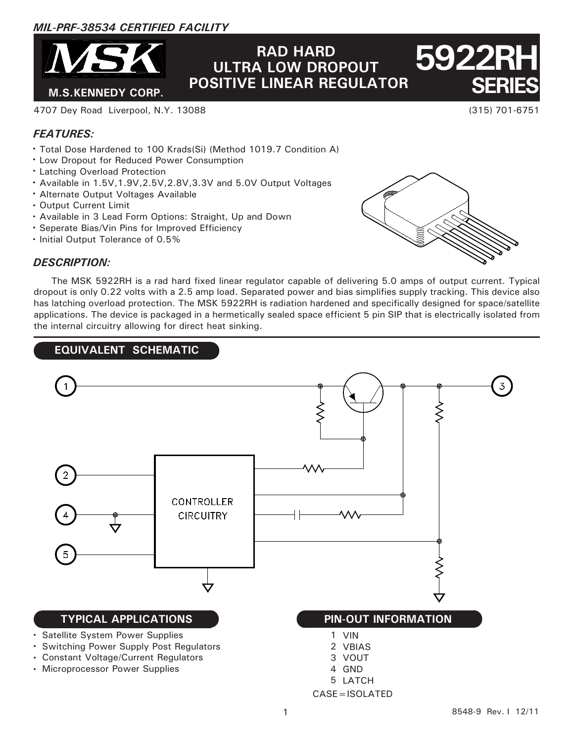# *MIL-PRF-38534 CERTIFIED FACILITY*



# **M.S.KENNEDY CORP.** POSITIVE LINEAR REGULATOR SERIES **RAD HARD ULTRA LOW DROPOUT**

4707 Dey Road Liverpool, N.Y. 13088 (315) 701-6751

# *FEATURES:*

- Total Dose Hardened to 100 Krads(Si) (Method 1019.7 Condition A)
- Low Dropout for Reduced Power Consumption
- Latching Overload Protection
- Available in 1.5V,1.9V,2.5V,2.8V,3.3V and 5.0V Output Voltages
- Alternate Output Voltages Available
- Output Current Limit
- Available in 3 Lead Form Options: Straight, Up and Down
- Seperate Bias/Vin Pins for Improved Efficiency
- $\cdot$  Initial Output Tolerance of 0.5%

**5922** 

# *DESCRIPTION:*

 The MSK 5922RH is a rad hard fixed linear regulator capable of delivering 5.0 amps of output current. Typical dropout is only 0.22 volts with a 2.5 amp load. Separated power and bias simplifies supply tracking. This device also has latching overload protection. The MSK 5922RH is radiation hardened and specifically designed for space/satellite applications. The device is packaged in a hermetically sealed space efficient 5 pin SIP that is electrically isolated from the internal circuitry allowing for direct heat sinking.

# **EQUIVALENT SCHEMATIC**

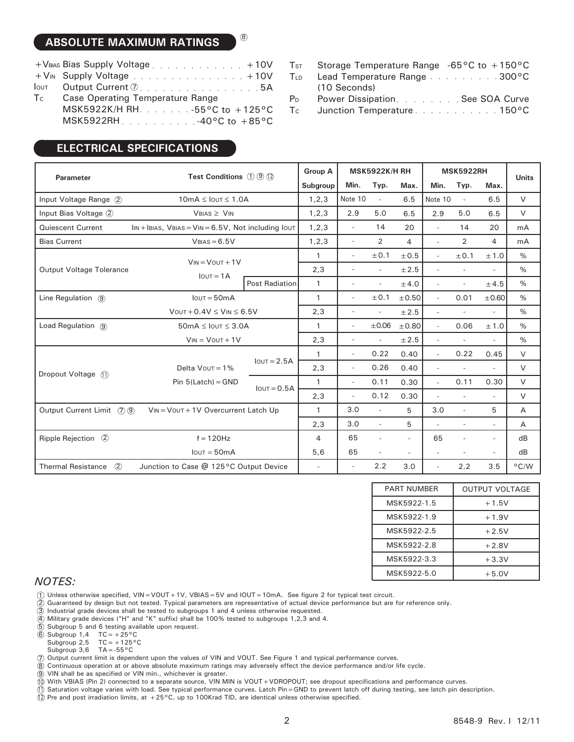# **ABSOLUTE MAXIMUM RATINGS**

| +VBAS Bias Supply Voltage + 10V TsT Storage Temperature Range -65°C to +150°C |                                                                          |  |  |  |  |  |
|-------------------------------------------------------------------------------|--------------------------------------------------------------------------|--|--|--|--|--|
|                                                                               | +V <sub>IN</sub> Supply Voltage +10V TLD Lead Temperature Range 300°C    |  |  |  |  |  |
|                                                                               | $\text{low}$ Output Current $\textcircled{2}$ 5A (10 Seconds)            |  |  |  |  |  |
|                                                                               | Tc Case Operating Temperature Range The Power Dissipation. See SOA Curve |  |  |  |  |  |
|                                                                               | MSK5922K/H RH. 55°C to +125°C Tc Junction Temperature 150°C              |  |  |  |  |  |
|                                                                               |                                                                          |  |  |  |  |  |

8

# **ELECTRICAL SPECIFICATIONS**

- Storage Temperature Range -65°C to +150°C  $T<sub>ST</sub>$
- Lead Temperature Range . . . . . . . . . 300°C **TLD**
- (10 Seconds) Power Dissipation. . . . . . . . See SOA Curve P<sub>D</sub>
- T<sub>c</sub>

| <b>Parameter</b>                                                                     | <b>Test Conditions</b> $(1)$ $(9)$ $(1)$    |                       | <b>Group A</b> | <b>MSK5922K/H RH</b>     |                          | <b>MSK5922RH</b>         |                          |                          | <b>Units</b>             |                |
|--------------------------------------------------------------------------------------|---------------------------------------------|-----------------------|----------------|--------------------------|--------------------------|--------------------------|--------------------------|--------------------------|--------------------------|----------------|
|                                                                                      |                                             |                       | Subgroup       | Min.                     | Typ.                     | Max.                     | Min.                     | Typ.                     | Max.                     |                |
| Input Voltage Range (2)                                                              | $10mA \leq IOUT \leq 1.0A$                  |                       |                | Note 10                  | $\sim$                   | 6.5                      | Note 10                  | $\sim$                   | 6.5                      | $\vee$         |
| Input Bias Voltage 2<br>$VBIAS \geq VIN$                                             |                                             | 1, 2, 3               | 2.9            | 5.0                      | 6.5                      | 2.9                      | 5.0                      | 6.5                      | $\vee$                   |                |
| <b>Quiescent Current</b><br>$\ln x + \ln x$ , VBIAS = VIN = 6.5V, Not including lout |                                             |                       | 1, 2, 3        | $\sim$                   | 14                       | 20                       |                          | 14                       | 20                       | mA             |
| $VBIAS = 6.5V$<br><b>Bias Current</b>                                                |                                             | 1, 2, 3               | $\sim$         | 2                        | 4                        | $\overline{\phantom{a}}$ | 2                        | 4                        | mA                       |                |
|                                                                                      |                                             |                       | $\mathbf{1}$   | $\overline{\phantom{a}}$ | ±0.1                     | ±0.5                     | $\overline{\phantom{a}}$ | ± 0.1                    | ±1.0                     | $\%$           |
| <b>Output Voltage Tolerance</b>                                                      | $V_{IN} = V_{OUT} + 1V$                     |                       | 2,3            | $\overline{\phantom{a}}$ |                          | ± 2.5                    |                          |                          | $\overline{\phantom{a}}$ | $\frac{0}{0}$  |
|                                                                                      | $I$ <sub>OUT</sub> = $1A$                   | <b>Post Radiation</b> | $\mathbf{1}$   | $\overline{\phantom{a}}$ | $\overline{\phantom{a}}$ | ±4.0                     | $\overline{\phantom{a}}$ | $\overline{\phantom{a}}$ | ±4.5                     | $\%$           |
| Line Regulation (9)                                                                  | $I$ out = 50 $mA$                           |                       | $\mathbf{1}$   | $\overline{\phantom{a}}$ | ± 0.1                    | ±0.50                    | $\overline{a}$           | 0.01                     | ±0.60                    | $\%$           |
|                                                                                      | $V$ OUT + 0.4V $\leq$ VIN $\leq$ 6.5V       |                       | 2,3            | $\overline{a}$           |                          | ± 2.5                    |                          | $\overline{\phantom{a}}$ | $\sim$                   | $\%$           |
| Load Regulation (9)                                                                  | $50mA \leq$ lout $\leq 3.0A$                |                       | $\mathbf{1}$   | $\sim$                   | $\pm 0.06$               | ±0.80                    | $\overline{a}$           | 0.06                     | ±1.0                     | $\%$           |
| $V_{IN} = V_{OUT} + 1V$                                                              |                                             |                       | 2,3            | $\sim$                   |                          | ± 2.5                    |                          |                          | $\overline{a}$           | $\%$           |
|                                                                                      | Delta $V$ out = 1%<br>Pin $5$ (Latch) = GND | $I$ out = 2.5A        | $\mathbf{1}$   | $\sim$                   | 0.22                     | 0.40                     | $\overline{a}$           | 0.22                     | 0.45                     | $\vee$         |
| Dropout Voltage (1)                                                                  |                                             |                       | 2,3            | $\sim$                   | 0.26                     | 0.40                     |                          | $\overline{a}$           | $\sim$                   | $\vee$         |
|                                                                                      |                                             | $I$ out = 0.5A        | $\mathbf{1}$   | $\sim$                   | 0.11                     | 0.30                     | $\overline{a}$           | 0.11                     | 0.30                     | $\vee$         |
|                                                                                      |                                             |                       | 2,3            | $\sim$                   | 0.12                     | 0.30                     | $\overline{\phantom{a}}$ | $\sim$                   | $\sim$                   | $\vee$         |
| Output Current Limit (7) (9)                                                         | VIN = VOUT + 1V Overcurrent Latch Up        |                       | $\mathbf{1}$   | 3.0                      | $\overline{\phantom{a}}$ | 5                        | 3.0                      | $\overline{a}$           | 5                        | Α              |
|                                                                                      |                                             |                       | 2,3            | 3.0                      | $\overline{\phantom{a}}$ | 5                        |                          | $\overline{a}$           | $\overline{\phantom{a}}$ | Α              |
| Ripple Rejection 2                                                                   | $f = 120$ Hz                                |                       | 4              | 65                       | $\overline{\phantom{a}}$ | $\overline{\phantom{a}}$ | 65                       | $\overline{a}$           | $\overline{\phantom{a}}$ | dB             |
|                                                                                      | $I$ out = 50m $A$                           |                       | 5,6            | 65                       | $\overline{\phantom{a}}$ | $\overline{\phantom{a}}$ |                          |                          | $\overline{\phantom{a}}$ | dB             |
| (2)<br>Junction to Case @ 125°C Output Device<br><b>Thermal Resistance</b>           |                                             |                       |                |                          | 2.2                      | 3.0                      | $\overline{\phantom{a}}$ | 2.2                      | 3.5                      | $^{\circ}$ C/W |

| <b>PART NUMBER</b> | <b>OUTPUT VOLTAGE</b> |
|--------------------|-----------------------|
| MSK5922-1.5        | $+1.5V$               |
| MSK5922-1.9        | $+1.9V$               |
| MSK5922-2.5        | $+2.5V$               |
| MSK5922-2.8        | $+2.8V$               |
| MSK5922-3.3        | $+3.3V$               |
| MSK5922-5.0        | $+5.0V$               |

#### *NOTES:*

1 Unless otherwise specified, VIN=VOUT+1V, VBIAS=5V and IOUT=10mA. See figure 2 for typical test circuit.

2 Guaranteed by design but not tested. Typical parameters are representative of actual device performance but are for reference only.

- 3 Industrial grade devices shall be tested to subgroups 1 and 4 unless otherwise requested.
- 4 Military grade devices ("H" and "K" suffix) shall be 100% tested to subgroups 1,2,3 and 4.
- 5 Subgroup 5 and 6 testing available upon request.
- 6 Subgroup  $1,4$  TC = +25°C
- Subgroup  $2,5$  TC = +125°C
- 
- 7 Subgroup 3,6 TA = -55°C<br>Output current limit is dependent upon the values of VIN and VOUT. See Figure 1 and typical performance curves. Output current limit is dependent upon the values of VIN and VOUT. See Figure 1 and typical performance curves.
- 8 Continuous operation at or above absolute maximum ratings may adversely effect the device performance and/or life cycle.
- 9 10 VIN shall be as specified or VIN min., whichever is greater.
- With VBIAS (Pin 2) connected to a separate source, VIN MIN is VOUT+VDROPOUT; see dropout specifications and performance curves.
- 11 Saturation voltage varies with load. See typical performance curves. Latch Pin=GND to prevent latch off during testing, see latch pin description.
- 12 Pre and post irradiation limits, at  $+25^{\circ}$ C, up to 100Krad TID, are identical unless otherwise specified.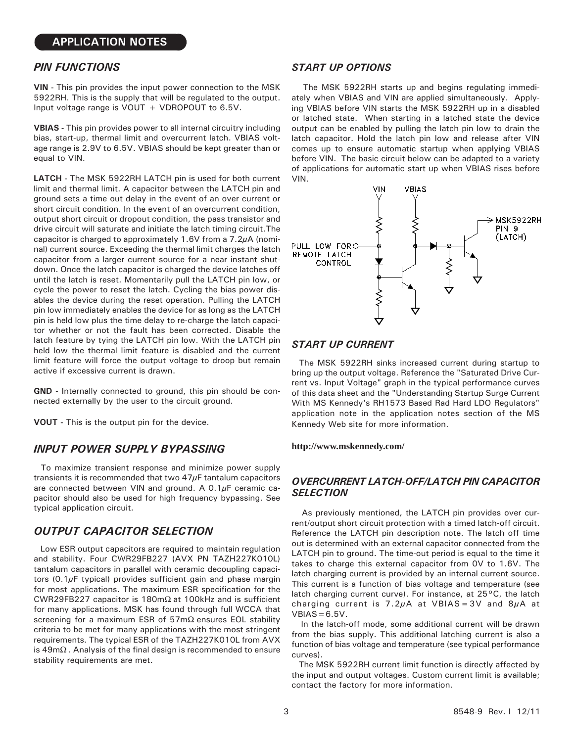## *PIN FUNCTIONS*

**VIN -** This pin provides the input power connection to the MSK 5922RH. This is the supply that will be regulated to the output. Input voltage range is VOUT + VDROPOUT to 6.5V.

**VBIAS -** This pin provides power to all internal circuitry including bias, start-up, thermal limit and overcurrent latch. VBIAS voltage range is 2.9V to 6.5V. VBIAS should be kept greater than or equal to VIN.

**LATCH -** The MSK 5922RH LATCH pin is used for both current limit and thermal limit. A capacitor between the LATCH pin and ground sets a time out delay in the event of an over current or short circuit condition. In the event of an overcurrent condition, output short circuit or dropout condition, the pass transistor and drive circuit will saturate and initiate the latch timing circuit.The capacitor is charged to approximately 1.6V from a 7.2μA (nominal) current source. Exceeding the thermal limit charges the latch capacitor from a larger current source for a near instant shutdown. Once the latch capacitor is charged the device latches off until the latch is reset. Momentarily pull the LATCH pin low, or cycle the power to reset the latch. Cycling the bias power disables the device during the reset operation. Pulling the LATCH pin low immediately enables the device for as long as the LATCH pin is held low plus the time delay to re-charge the latch capacitor whether or not the fault has been corrected. Disable the latch feature by tying the LATCH pin low. With the LATCH pin held low the thermal limit feature is disabled and the current limit feature will force the output voltage to droop but remain active if excessive current is drawn.

**GND -** Internally connected to ground, this pin should be connected externally by the user to the circuit ground.

**VOUT -** This is the output pin for the device.

#### *INPUT POWER SUPPLY BYPASSING*

 To maximize transient response and minimize power supply transients it is recommended that two  $47\mu$ F tantalum capacitors are connected between VIN and ground. A  $0.1\mu$ F ceramic capacitor should also be used for high frequency bypassing. See typical application circuit.

# *OUTPUT CAPACITOR SELECTION*

 Low ESR output capacitors are required to maintain regulation and stability. Four CWR29FB227 (AVX PN TAZH227K010L) tantalum capacitors in parallel with ceramic decoupling capacitors  $(0.1 \mu$ F typical) provides sufficient gain and phase margin for most applications. The maximum ESR specification for the CWR29FB227 capacitor is 180mΩ at 100kHz and is sufficient for many applications. MSK has found through full WCCA that screening for a maximum ESR of  $57 \text{m}\Omega$  ensures EOL stability criteria to be met for many applications with the most stringent requirements. The typical ESR of the TAZH227K010L from AVX is 49mΩ . Analysis of the final design is recommended to ensure stability requirements are met.

#### *START UP OPTIONS*

 The MSK 5922RH starts up and begins regulating immediately when VBIAS and VIN are applied simultaneously. Applying VBIAS before VIN starts the MSK 5922RH up in a disabled or latched state. When starting in a latched state the device output can be enabled by pulling the latch pin low to drain the latch capacitor. Hold the latch pin low and release after VIN comes up to ensure automatic startup when applying VBIAS before VIN. The basic circuit below can be adapted to a variety of applications for automatic start up when VBIAS rises before VIN.



#### *START UP CURRENT*

 The MSK 5922RH sinks increased current during startup to bring up the output voltage. Reference the "Saturated Drive Current vs. Input Voltage" graph in the typical performance curves of this data sheet and the "Understanding Startup Surge Current With MS Kennedy's RH1573 Based Rad Hard LDO Regulators" application note in the application notes section of the MS Kennedy Web site for more information.

**http://www.mskennedy.com/**

#### *OVERCURRENT LATCH-OFF/LATCH PIN CAPACITOR SELECTION*

 As previously mentioned, the LATCH pin provides over current/output short circuit protection with a timed latch-off circuit. Reference the LATCH pin description note. The latch off time out is determined with an external capacitor connected from the LATCH pin to ground. The time-out period is equal to the time it takes to charge this external capacitor from 0V to 1.6V. The latch charging current is provided by an internal current source. This current is a function of bias voltage and temperature (see latch charging current curve). For instance, at 25°C, the latch charging current is  $7.2\mu$ A at VBIAS = 3V and  $8\mu$ A at  $VBIAS=6.5V.$ 

 In the latch-off mode, some additional current will be drawn from the bias supply. This additional latching current is also a function of bias voltage and temperature (see typical performance curves).

 The MSK 5922RH current limit function is directly affected by the input and output voltages. Custom current limit is available; contact the factory for more information.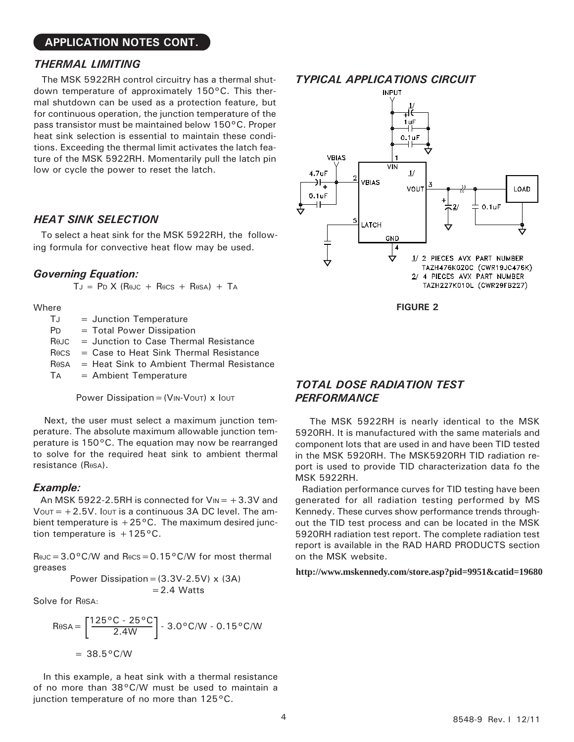#### **APPLICATION NOTES CONT.**

#### *THERMAL LIMITING*

 The MSK 5922RH control circuitry has a thermal shutdown temperature of approximately 150°C. This thermal shutdown can be used as a protection feature, but for continuous operation, the junction temperature of the pass transistor must be maintained below 150°C. Proper heat sink selection is essential to maintain these conditions. Exceeding the thermal limit activates the latch feature of the MSK 5922RH. Momentarily pull the latch pin low or cycle the power to reset the latch.

#### *HEAT SINK SELECTION*

 To select a heat sink for the MSK 5922RH, the following formula for convective heat flow may be used.

#### *Governing Equation:*

 $TJ = PD X (R\theta JC + R\theta CS + R\theta SA) + TA$ 

Where

 $TJ =$  Junction Temperature PD = Total Power Dissipation RθJC = Junction to Case Thermal Resistance RθCS = Case to Heat Sink Thermal Resistance RθSA = Heat Sink to Ambient Thermal Resistance TA = Ambient Temperature

Power Dissipation =  $(V_{IN}-V_{OUT})$  x  $I_{OUT}$ 

 Next, the user must select a maximum junction temperature. The absolute maximum allowable junction temperature is 150°C. The equation may now be rearranged to solve for the required heat sink to ambient thermal resistance (RθSA).

#### *Example:*

An MSK 5922-2.5RH is connected for  $V_{\text{IN}} = +3.3V$  and  $V$ <sup>OUT</sup> =  $+2.5V$ . IoUT is a continuous 3A DC level. The ambient temperature is  $+25^{\circ}$ C. The maximum desired junction temperature is  $+125\degree$ C.

 $R$ θJC=3.0°C/W and  $R$ θCS=0.15°C/W for most thermal greases

> Power Dissipation =  $(3.3V-2.5V) \times (3A)$  $= 2.4$  Watts

Solve for RθSA:

$$
R\theta SA = \left[\frac{125\,^{\circ}\text{C} - 25\,^{\circ}\text{C}}{2.4\text{W}}\right] - 3.0\,^{\circ}\text{C/W} - 0.15\,^{\circ}\text{C/W}
$$

$$
= 38.5\,^{\circ}\text{C/W}
$$

 In this example, a heat sink with a thermal resistance of no more than 38°C/W must be used to maintain a junction temperature of no more than 125°C.

### *TYPICAL APPLICATIONS CIRCUIT*



**FIGURE 2**

# *TOTAL DOSE RADIATION TEST PERFORMANCE*

 The MSK 5922RH is nearly identical to the MSK 5920RH. It is manufactured with the same materials and component lots that are used in and have been TID tested in the MSK 5920RH. The MSK5920RH TID radiation report is used to provide TID characterization data fo the MSK 5922RH.

 Radiation performance curves for TID testing have been generated for all radiation testing performed by MS Kennedy. These curves show performance trends throughout the TID test process and can be located in the MSK 5920RH radiation test report. The complete radiation test report is available in the RAD HARD PRODUCTS section on the MSK website.

**http://www.mskennedy.com/store.asp?pid=9951&catid=19680**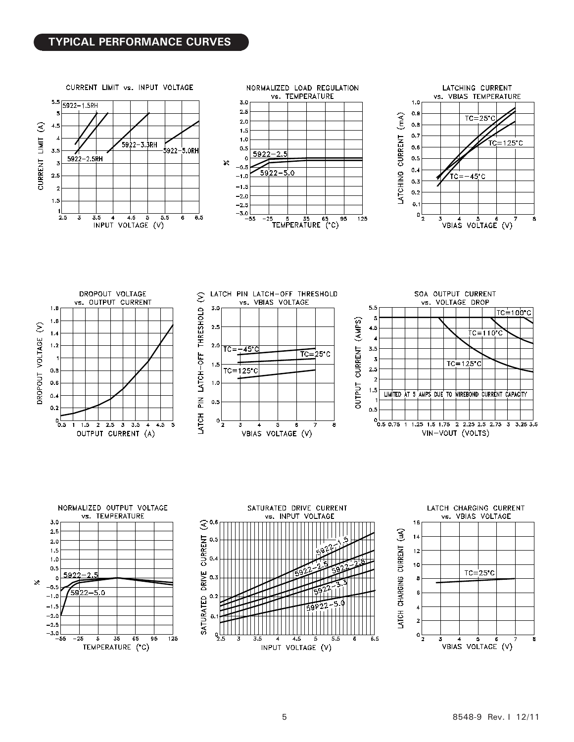# **TYPICAL PERFORMANCE CURVES**



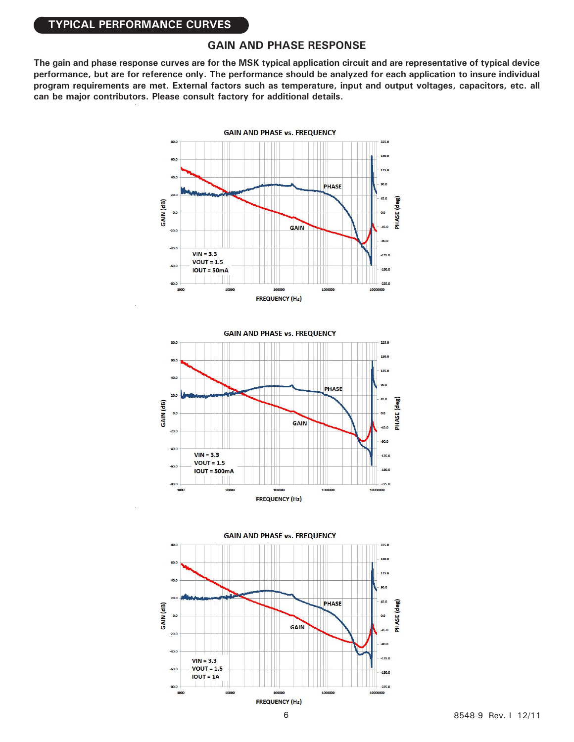### **TYPICAL PERFORMANCE CURVES**

### **GAIN AND PHASE RESPONSE**

**The gain and phase response curves are for the MSK typical application circuit and are representative of typical device performance, but are for reference only. The performance should be analyzed for each application to insure individual program requirements are met. External factors such as temperature, input and output voltages, capacitors, etc. all can be major contributors. Please consult factory for additional details.**